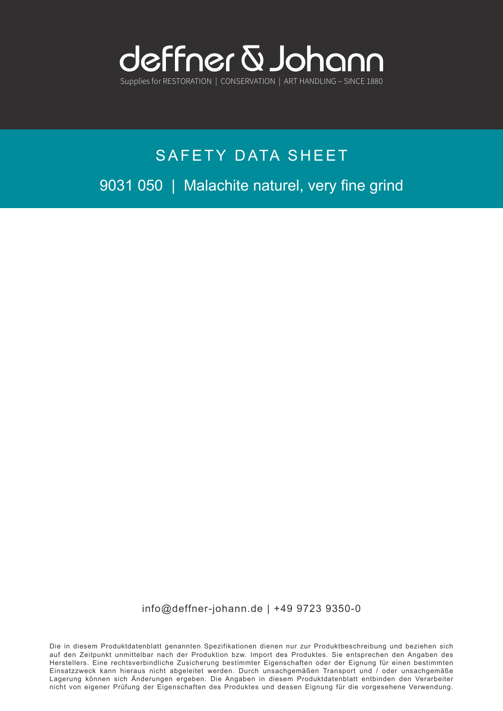

# SAFETY DATA SHEET 9031 050 | Malachite naturel, very fine grind

info@deffner-johann.de | +49 9723 9350-0

Die in diesem Produktdatenblatt genannten Spezifikationen dienen nur zur Produktbeschreibung und beziehen sich auf den Zeitpunkt unmittelbar nach der Produktion bzw. Import des Produktes. Sie entsprechen den Angaben des Herstellers. Eine rechtsverbindliche Zusicherung bestimmter Eigenschaften oder der Eignung für einen bestimmten Einsatzzweck kann hieraus nicht abgeleitet werden. Durch unsachgemäßen Transport und / oder unsachgemäße Lagerung können sich Änderungen ergeben. Die Angaben in diesem Produktdatenblatt entbinden den Verarbeiter nicht von eigener Prüfung der Eigenschaften des Produktes und dessen Eignung für die vorgesehene Verwendung.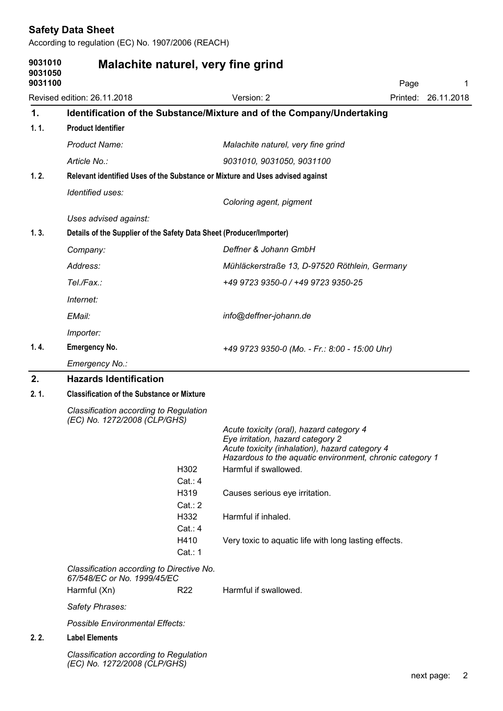| 9031010<br>9031050<br>9031100 | Malachite naturel, very fine grind                                            |                                                                                                                                                          | Page                                                     | -1                  |  |  |
|-------------------------------|-------------------------------------------------------------------------------|----------------------------------------------------------------------------------------------------------------------------------------------------------|----------------------------------------------------------|---------------------|--|--|
|                               | Revised edition: 26.11.2018                                                   | Version: 2                                                                                                                                               |                                                          | Printed: 26.11.2018 |  |  |
| $\mathbf{1}$ .                | Identification of the Substance/Mixture and of the Company/Undertaking        |                                                                                                                                                          |                                                          |                     |  |  |
| 1.1.                          | <b>Product Identifier</b>                                                     |                                                                                                                                                          |                                                          |                     |  |  |
|                               | <b>Product Name:</b>                                                          | Malachite naturel, very fine grind                                                                                                                       |                                                          |                     |  |  |
|                               | Article No.:                                                                  | 9031010, 9031050, 9031100                                                                                                                                |                                                          |                     |  |  |
| 1.2.                          | Relevant identified Uses of the Substance or Mixture and Uses advised against |                                                                                                                                                          |                                                          |                     |  |  |
|                               | Identified uses:                                                              | Coloring agent, pigment                                                                                                                                  |                                                          |                     |  |  |
|                               | Uses advised against:                                                         |                                                                                                                                                          |                                                          |                     |  |  |
| 1.3.                          | Details of the Supplier of the Safety Data Sheet (Producer/Importer)          |                                                                                                                                                          |                                                          |                     |  |  |
|                               | Company:                                                                      | Deffner & Johann GmbH                                                                                                                                    |                                                          |                     |  |  |
|                               | Address:                                                                      | Mühläckerstraße 13, D-97520 Röthlein, Germany                                                                                                            |                                                          |                     |  |  |
|                               | Tel./Fax.:                                                                    | +49 9723 9350-0 / +49 9723 9350-25                                                                                                                       |                                                          |                     |  |  |
|                               | Internet:                                                                     |                                                                                                                                                          |                                                          |                     |  |  |
|                               | EMail:                                                                        | info@deffner-johann.de                                                                                                                                   |                                                          |                     |  |  |
|                               | Importer:                                                                     |                                                                                                                                                          |                                                          |                     |  |  |
| 1.4.                          | <b>Emergency No.</b>                                                          | +49 9723 9350-0 (Mo. - Fr.: 8:00 - 15:00 Uhr)                                                                                                            |                                                          |                     |  |  |
|                               | Emergency No.:                                                                |                                                                                                                                                          |                                                          |                     |  |  |
| 2.                            | <b>Hazards Identification</b>                                                 |                                                                                                                                                          |                                                          |                     |  |  |
| 2.1.                          | <b>Classification of the Substance or Mixture</b>                             |                                                                                                                                                          |                                                          |                     |  |  |
|                               | Classification according to Regulation<br>(EC) No. 1272/2008 (CLP/GHS)        |                                                                                                                                                          |                                                          |                     |  |  |
|                               | H302                                                                          | Acute toxicity (oral), hazard category 4<br>Eye irritation, hazard category 2<br>Acute toxicity (inhalation), hazard category 4<br>Harmful if swallowed. | Hazardous to the aquatic environment, chronic category 1 |                     |  |  |
|                               | Cat. : 4<br>H319                                                              | Causes serious eye irritation.                                                                                                                           |                                                          |                     |  |  |
|                               | Cat: 2<br>H332<br>Cat: 4                                                      | Harmful if inhaled.                                                                                                                                      |                                                          |                     |  |  |
|                               | H410<br>Cat.: 1                                                               | Very toxic to aquatic life with long lasting effects.                                                                                                    |                                                          |                     |  |  |
|                               | Classification according to Directive No.<br>67/548/EC or No. 1999/45/EC      | Harmful if swallowed.                                                                                                                                    |                                                          |                     |  |  |
|                               | Harmful (Xn)<br>R <sub>22</sub>                                               |                                                                                                                                                          |                                                          |                     |  |  |
|                               | Safety Phrases:                                                               |                                                                                                                                                          |                                                          |                     |  |  |
| 2.2.                          | <b>Possible Environmental Effects:</b><br><b>Label Elements</b>               |                                                                                                                                                          |                                                          |                     |  |  |
|                               | Classification according to Regulation                                        |                                                                                                                                                          |                                                          |                     |  |  |
|                               | (EC) No. 1272/2008 (CLP/GHS)                                                  |                                                                                                                                                          |                                                          |                     |  |  |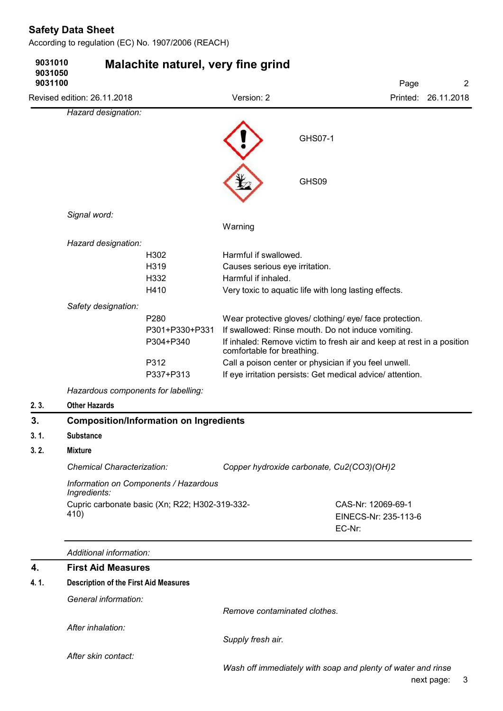| 9031010<br>9031050<br>9031100 |                                              | Malachite naturel, very fine grind                       |                                                                                |                                                                                                                                                                                                                                                                                                               | Page                                       | $\overline{c}$      |
|-------------------------------|----------------------------------------------|----------------------------------------------------------|--------------------------------------------------------------------------------|---------------------------------------------------------------------------------------------------------------------------------------------------------------------------------------------------------------------------------------------------------------------------------------------------------------|--------------------------------------------|---------------------|
|                               | Revised edition: 26.11.2018                  |                                                          | Version: 2                                                                     |                                                                                                                                                                                                                                                                                                               |                                            | Printed: 26.11.2018 |
|                               | Hazard designation:                          |                                                          |                                                                                |                                                                                                                                                                                                                                                                                                               |                                            |                     |
|                               |                                              |                                                          |                                                                                | GHS07-1                                                                                                                                                                                                                                                                                                       |                                            |                     |
|                               |                                              |                                                          |                                                                                | GHS09                                                                                                                                                                                                                                                                                                         |                                            |                     |
|                               | Signal word:                                 |                                                          | Warning                                                                        |                                                                                                                                                                                                                                                                                                               |                                            |                     |
|                               | Hazard designation:                          |                                                          |                                                                                |                                                                                                                                                                                                                                                                                                               |                                            |                     |
|                               |                                              | H302<br>H319<br>H332<br>H410                             | Harmful if swallowed.<br>Causes serious eye irritation.<br>Harmful if inhaled. | Very toxic to aquatic life with long lasting effects.                                                                                                                                                                                                                                                         |                                            |                     |
|                               | Safety designation:                          |                                                          |                                                                                |                                                                                                                                                                                                                                                                                                               |                                            |                     |
|                               |                                              | P280<br>P301+P330+P331<br>P304+P340<br>P312<br>P337+P313 | comfortable for breathing.                                                     | Wear protective gloves/ clothing/ eye/ face protection.<br>If swallowed: Rinse mouth. Do not induce vomiting.<br>If inhaled: Remove victim to fresh air and keep at rest in a position<br>Call a poison center or physician if you feel unwell.<br>If eye irritation persists: Get medical advice/ attention. |                                            |                     |
|                               | Hazardous components for labelling:          |                                                          |                                                                                |                                                                                                                                                                                                                                                                                                               |                                            |                     |
| 2.3.                          | <b>Other Hazards</b>                         |                                                          |                                                                                |                                                                                                                                                                                                                                                                                                               |                                            |                     |
| 3.                            |                                              | <b>Composition/Information on Ingredients</b>            |                                                                                |                                                                                                                                                                                                                                                                                                               |                                            |                     |
| 3.1.                          | Substance                                    |                                                          |                                                                                |                                                                                                                                                                                                                                                                                                               |                                            |                     |
| 3.2.                          | <b>Mixture</b>                               |                                                          |                                                                                |                                                                                                                                                                                                                                                                                                               |                                            |                     |
|                               | <b>Chemical Characterization:</b>            |                                                          |                                                                                | Copper hydroxide carbonate, Cu2(CO3)(OH)2                                                                                                                                                                                                                                                                     |                                            |                     |
|                               | Ingredients:                                 | Information on Components / Hazardous                    |                                                                                |                                                                                                                                                                                                                                                                                                               |                                            |                     |
|                               | 410)                                         | Cupric carbonate basic (Xn; R22; H302-319-332-           |                                                                                | EC-Nr:                                                                                                                                                                                                                                                                                                        | CAS-Nr: 12069-69-1<br>EINECS-Nr: 235-113-6 |                     |
|                               | Additional information:                      |                                                          |                                                                                |                                                                                                                                                                                                                                                                                                               |                                            |                     |
| 4.                            | <b>First Aid Measures</b>                    |                                                          |                                                                                |                                                                                                                                                                                                                                                                                                               |                                            |                     |
| 4.1.                          | <b>Description of the First Aid Measures</b> |                                                          |                                                                                |                                                                                                                                                                                                                                                                                                               |                                            |                     |
|                               | General information:                         |                                                          | Remove contaminated clothes.                                                   |                                                                                                                                                                                                                                                                                                               |                                            |                     |
|                               | After inhalation:                            |                                                          |                                                                                |                                                                                                                                                                                                                                                                                                               |                                            |                     |
|                               |                                              |                                                          | Supply fresh air.                                                              |                                                                                                                                                                                                                                                                                                               |                                            |                     |
|                               | After skin contact:                          |                                                          |                                                                                |                                                                                                                                                                                                                                                                                                               |                                            |                     |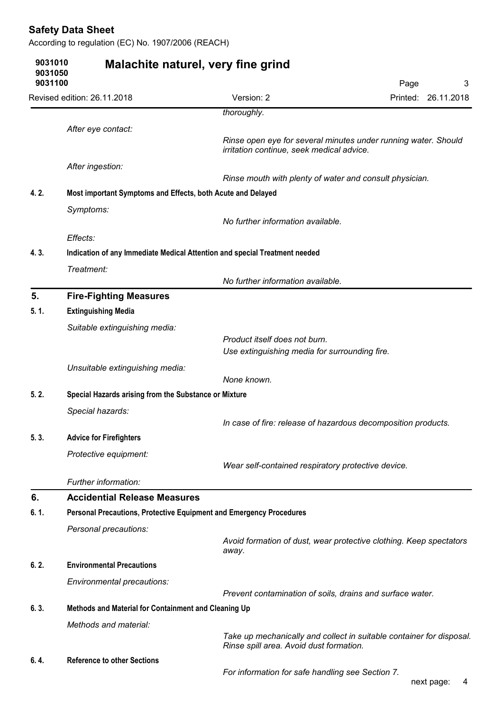|                    | <b>Safety Data Sheet</b><br>According to regulation (EC) No. 1907/2006 (REACH) |                                                                                                             |      |                     |
|--------------------|--------------------------------------------------------------------------------|-------------------------------------------------------------------------------------------------------------|------|---------------------|
| 9031010<br>9031050 |                                                                                | Malachite naturel, very fine grind                                                                          |      |                     |
| 9031100            |                                                                                |                                                                                                             | Page | 3                   |
|                    | Revised edition: 26.11.2018                                                    | Version: 2<br>thoroughly.                                                                                   |      | Printed: 26.11.2018 |
|                    |                                                                                |                                                                                                             |      |                     |
|                    | After eye contact:                                                             | Rinse open eye for several minutes under running water. Should<br>irritation continue, seek medical advice. |      |                     |
|                    | After ingestion:                                                               |                                                                                                             |      |                     |
|                    |                                                                                | Rinse mouth with plenty of water and consult physician.                                                     |      |                     |
| 4.2.               | Most important Symptoms and Effects, both Acute and Delayed                    |                                                                                                             |      |                     |
|                    | Symptoms:                                                                      | No further information available.                                                                           |      |                     |
|                    | Effects:                                                                       |                                                                                                             |      |                     |
| 4.3.               |                                                                                | Indication of any Immediate Medical Attention and special Treatment needed                                  |      |                     |
|                    | Treatment:                                                                     | No further information available.                                                                           |      |                     |
| 5.                 | <b>Fire-Fighting Measures</b>                                                  |                                                                                                             |      |                     |
| 5.1.               | <b>Extinguishing Media</b>                                                     |                                                                                                             |      |                     |
|                    | Suitable extinguishing media:                                                  |                                                                                                             |      |                     |
|                    |                                                                                | Product itself does not burn.<br>Use extinguishing media for surrounding fire.                              |      |                     |
|                    |                                                                                |                                                                                                             |      |                     |
|                    | Unsuitable extinguishing media:                                                | None known.                                                                                                 |      |                     |
| 5.2.               | Special Hazards arising from the Substance or Mixture                          |                                                                                                             |      |                     |
|                    | Special hazards:                                                               |                                                                                                             |      |                     |
|                    |                                                                                | In case of fire: release of hazardous decomposition products.                                               |      |                     |
| 5.3.               | <b>Advice for Firefighters</b>                                                 |                                                                                                             |      |                     |
|                    | Protective equipment:                                                          |                                                                                                             |      |                     |
|                    |                                                                                | Wear self-contained respiratory protective device.                                                          |      |                     |
|                    | Further information:                                                           |                                                                                                             |      |                     |
| 6.                 | <b>Accidential Release Measures</b>                                            |                                                                                                             |      |                     |
| 6.1.               | Personal Precautions, Protective Equipment and Emergency Procedures            |                                                                                                             |      |                     |
|                    | Personal precautions:                                                          |                                                                                                             |      |                     |
|                    |                                                                                | Avoid formation of dust, wear protective clothing. Keep spectators                                          |      |                     |
| 6.2.               | <b>Environmental Precautions</b>                                               | away.                                                                                                       |      |                     |
|                    |                                                                                |                                                                                                             |      |                     |
|                    | Environmental precautions:                                                     | Prevent contamination of soils, drains and surface water.                                                   |      |                     |
| 6.3.               | Methods and Material for Containment and Cleaning Up                           |                                                                                                             |      |                     |
|                    | Methods and material:                                                          |                                                                                                             |      |                     |
|                    |                                                                                | Take up mechanically and collect in suitable container for disposal.                                        |      |                     |
|                    |                                                                                | Rinse spill area. Avoid dust formation.                                                                     |      |                     |
| 6.4.               | <b>Reference to other Sections</b>                                             |                                                                                                             |      |                     |
|                    |                                                                                | For information for safe handling see Section 7.                                                            |      | next page:<br>4     |

#### next page: 4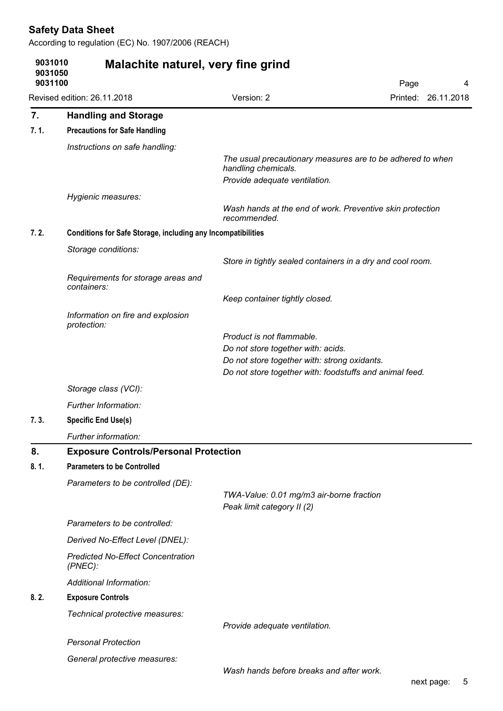|      | 9031050<br>9031100                                                  | Malachite naturel, very fine grind                                                                                                            | Page<br>4                                                  |
|------|---------------------------------------------------------------------|-----------------------------------------------------------------------------------------------------------------------------------------------|------------------------------------------------------------|
|      | Revised edition: 26.11.2018                                         | Version: 2                                                                                                                                    | Printed: 26.11.2018                                        |
| 7.   | <b>Handling and Storage</b>                                         |                                                                                                                                               |                                                            |
| 7.1. | <b>Precautions for Safe Handling</b>                                |                                                                                                                                               |                                                            |
|      | Instructions on safe handling:                                      |                                                                                                                                               |                                                            |
|      |                                                                     | handling chemicals.<br>Provide adequate ventilation.                                                                                          | The usual precautionary measures are to be adhered to when |
|      | Hygienic measures:                                                  |                                                                                                                                               |                                                            |
|      |                                                                     | Wash hands at the end of work. Preventive skin protection<br>recommended.                                                                     |                                                            |
| 7.2. | <b>Conditions for Safe Storage, including any Incompatibilities</b> |                                                                                                                                               |                                                            |
|      | Storage conditions:                                                 | Store in tightly sealed containers in a dry and cool room.                                                                                    |                                                            |
|      | Requirements for storage areas and<br>containers:                   |                                                                                                                                               |                                                            |
|      |                                                                     | Keep container tightly closed.                                                                                                                |                                                            |
|      | Information on fire and explosion<br>protection:                    |                                                                                                                                               |                                                            |
|      |                                                                     | Product is not flammable.                                                                                                                     |                                                            |
|      |                                                                     | Do not store together with: acids.<br>Do not store together with: strong oxidants.<br>Do not store together with: foodstuffs and animal feed. |                                                            |
|      | Storage class (VCI):                                                |                                                                                                                                               |                                                            |
|      | Further Information:                                                |                                                                                                                                               |                                                            |
| 7.3. | <b>Specific End Use(s)</b>                                          |                                                                                                                                               |                                                            |
|      | Further information:                                                |                                                                                                                                               |                                                            |
| 8.   | <b>Exposure Controls/Personal Protection</b>                        |                                                                                                                                               |                                                            |
| 8.1. | <b>Parameters to be Controlled</b>                                  |                                                                                                                                               |                                                            |
|      | Parameters to be controlled (DE):                                   |                                                                                                                                               |                                                            |
|      |                                                                     | TWA-Value: 0.01 mg/m3 air-borne fraction<br>Peak limit category II (2)                                                                        |                                                            |
|      | Parameters to be controlled:                                        |                                                                                                                                               |                                                            |
|      | Derived No-Effect Level (DNEL):                                     |                                                                                                                                               |                                                            |
|      | <b>Predicted No-Effect Concentration</b><br>$(PNEC)$ :              |                                                                                                                                               |                                                            |
|      | Additional Information:                                             |                                                                                                                                               |                                                            |
| 8.2. | <b>Exposure Controls</b>                                            |                                                                                                                                               |                                                            |
|      | Technical protective measures:                                      |                                                                                                                                               |                                                            |
|      |                                                                     | Provide adequate ventilation.                                                                                                                 |                                                            |
|      |                                                                     |                                                                                                                                               |                                                            |
|      | <b>Personal Protection</b><br>General protective measures:          |                                                                                                                                               |                                                            |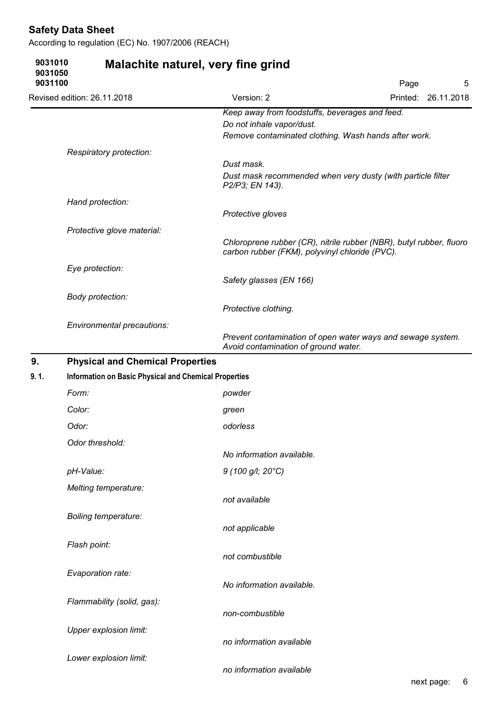According to regulation (EC) No. 1907/2006 (REACH)

Lower explosion limit:

| 9031010<br>9031050<br>9031100 |                                                              | Malachite naturel, very fine grind                                                                                                  | Page | 5                   |  |  |
|-------------------------------|--------------------------------------------------------------|-------------------------------------------------------------------------------------------------------------------------------------|------|---------------------|--|--|
|                               | Revised edition: 26.11.2018                                  | Version: 2                                                                                                                          |      | Printed: 26.11.2018 |  |  |
|                               |                                                              | Keep away from foodstuffs, beverages and feed.<br>Do not inhale vapor/dust.<br>Remove contaminated clothing. Wash hands after work. |      |                     |  |  |
|                               | Respiratory protection:                                      |                                                                                                                                     |      |                     |  |  |
|                               |                                                              | Dust mask.<br>Dust mask recommended when very dusty (with particle filter<br>P2/P3; EN 143).                                        |      |                     |  |  |
|                               | Hand protection:                                             |                                                                                                                                     |      |                     |  |  |
|                               |                                                              | Protective gloves                                                                                                                   |      |                     |  |  |
|                               | Protective glove material:                                   | Chloroprene rubber (CR), nitrile rubber (NBR), butyl rubber, fluoro<br>carbon rubber (FKM), polyvinyl chloride (PVC).               |      |                     |  |  |
|                               | Eye protection:                                              | Safety glasses (EN 166)                                                                                                             |      |                     |  |  |
|                               | Body protection:                                             | Protective clothing.                                                                                                                |      |                     |  |  |
|                               | Environmental precautions:                                   | Prevent contamination of open water ways and sewage system.<br>Avoid contamination of ground water.                                 |      |                     |  |  |
| 9.                            | <b>Physical and Chemical Properties</b>                      |                                                                                                                                     |      |                     |  |  |
| 9.1.                          | <b>Information on Basic Physical and Chemical Properties</b> |                                                                                                                                     |      |                     |  |  |
|                               | Form:                                                        | powder                                                                                                                              |      |                     |  |  |
|                               | Color:                                                       | green                                                                                                                               |      |                     |  |  |
|                               | Odor:                                                        | odorless                                                                                                                            |      |                     |  |  |
|                               | Odor threshold:                                              |                                                                                                                                     |      |                     |  |  |
|                               |                                                              | No information available.                                                                                                           |      |                     |  |  |
|                               | pH-Value:                                                    | 9 (100 g/l; 20°C)                                                                                                                   |      |                     |  |  |
|                               | Melting temperature:                                         |                                                                                                                                     |      |                     |  |  |
|                               |                                                              | not available                                                                                                                       |      |                     |  |  |
|                               | Boiling temperature:                                         | not applicable                                                                                                                      |      |                     |  |  |
|                               | Flash point:                                                 | not combustible                                                                                                                     |      |                     |  |  |
|                               | Evaporation rate:                                            | No information available.                                                                                                           |      |                     |  |  |
|                               | Flammability (solid, gas):                                   | non-combustible                                                                                                                     |      |                     |  |  |
|                               | Upper explosion limit:                                       | no information available                                                                                                            |      |                     |  |  |
|                               |                                                              |                                                                                                                                     |      |                     |  |  |

#### no information available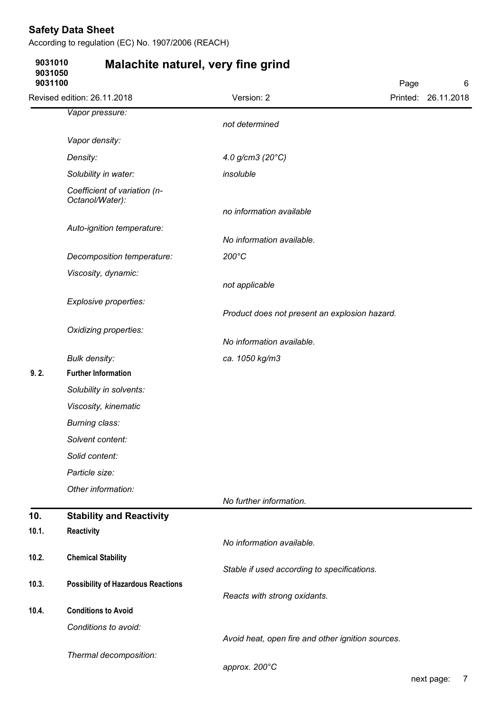**9031010**

According to regulation (EC) No. 1907/2006 (REACH)

**Malachite naturel, very fine grind**

| 9031050<br>9031100 |                                                 |                                                   | Page | 6                   |
|--------------------|-------------------------------------------------|---------------------------------------------------|------|---------------------|
|                    | Revised edition: 26.11.2018                     | Version: 2                                        |      | Printed: 26.11.2018 |
|                    | Vapor pressure:                                 |                                                   |      |                     |
|                    |                                                 | not determined                                    |      |                     |
|                    | Vapor density:                                  |                                                   |      |                     |
|                    | Density:                                        | 4.0 g/cm3 $(20^{\circ}C)$                         |      |                     |
|                    | Solubility in water:                            | insoluble                                         |      |                     |
|                    | Coefficient of variation (n-<br>Octanol/Water): |                                                   |      |                     |
|                    |                                                 | no information available                          |      |                     |
|                    | Auto-ignition temperature:                      |                                                   |      |                     |
|                    |                                                 | No information available.<br>200°C                |      |                     |
|                    | Decomposition temperature:                      |                                                   |      |                     |
|                    | Viscosity, dynamic:                             | not applicable                                    |      |                     |
|                    | Explosive properties:                           |                                                   |      |                     |
|                    |                                                 | Product does not present an explosion hazard.     |      |                     |
|                    | Oxidizing properties:                           |                                                   |      |                     |
|                    |                                                 | No information available.                         |      |                     |
|                    | <b>Bulk density:</b>                            | ca. 1050 kg/m3                                    |      |                     |
| 9.2.               | <b>Further Information</b>                      |                                                   |      |                     |
|                    | Solubility in solvents:                         |                                                   |      |                     |
|                    | Viscosity, kinematic                            |                                                   |      |                     |
|                    | Burning class:                                  |                                                   |      |                     |
|                    | Solvent content:                                |                                                   |      |                     |
|                    | Solid content:                                  |                                                   |      |                     |
|                    | Particle size:                                  |                                                   |      |                     |
|                    | Other information:                              | No further information.                           |      |                     |
| 10.                | <b>Stability and Reactivity</b>                 |                                                   |      |                     |
| 10.1.              | Reactivity                                      |                                                   |      |                     |
|                    |                                                 | No information available.                         |      |                     |
| 10.2.              | <b>Chemical Stability</b>                       | Stable if used according to specifications.       |      |                     |
| 10.3.              | <b>Possibility of Hazardous Reactions</b>       |                                                   |      |                     |
|                    |                                                 | Reacts with strong oxidants.                      |      |                     |
| 10.4.              | <b>Conditions to Avoid</b>                      |                                                   |      |                     |
|                    | Conditions to avoid:                            |                                                   |      |                     |
|                    |                                                 | Avoid heat, open fire and other ignition sources. |      |                     |
|                    | Thermal decomposition:                          | approx. 200°C                                     |      |                     |
|                    |                                                 |                                                   |      |                     |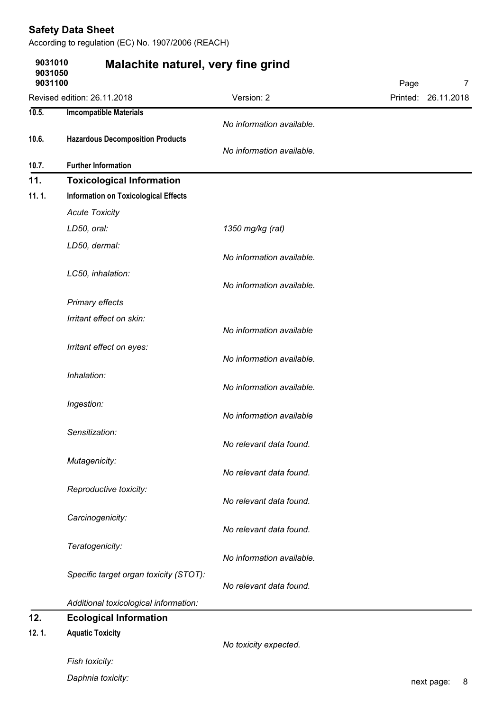|                               | According to regulation (EC) No. 1907/2006 (REACH) |                           |                        |
|-------------------------------|----------------------------------------------------|---------------------------|------------------------|
| 9031010<br>9031050<br>9031100 | Malachite naturel, very fine grind                 |                           | Page<br>$\overline{7}$ |
|                               | Revised edition: 26.11.2018                        | Version: 2                | Printed: 26.11.2018    |
| 10.5.                         | <b>Imcompatible Materials</b>                      | No information available. |                        |
| 10.6.                         | <b>Hazardous Decomposition Products</b>            | No information available. |                        |
| 10.7.                         | <b>Further Information</b>                         |                           |                        |
| 11.                           | <b>Toxicological Information</b>                   |                           |                        |
| 11.1.                         | <b>Information on Toxicological Effects</b>        |                           |                        |
|                               | <b>Acute Toxicity</b>                              |                           |                        |
|                               | LD50, oral:                                        | 1350 mg/kg (rat)          |                        |
|                               | LD50, dermal:                                      | No information available. |                        |
|                               | LC50, inhalation:                                  | No information available. |                        |
|                               | Primary effects                                    |                           |                        |
|                               | Irritant effect on skin:                           | No information available  |                        |
|                               | Irritant effect on eyes:                           | No information available. |                        |
|                               | Inhalation:                                        | No information available. |                        |
|                               | Ingestion:                                         | No information available  |                        |
|                               | Sensitization:                                     | No relevant data found.   |                        |
|                               | Mutagenicity:                                      | No relevant data found.   |                        |
|                               | Reproductive toxicity:                             | No relevant data found.   |                        |
|                               | Carcinogenicity:                                   | No relevant data found.   |                        |
|                               | Teratogenicity:                                    | No information available. |                        |
|                               | Specific target organ toxicity (STOT):             | No relevant data found.   |                        |
|                               | Additional toxicological information:              |                           |                        |
| 12.                           | <b>Ecological Information</b>                      |                           |                        |
| 12.1.                         | <b>Aquatic Toxicity</b>                            | No toxicity expected.     |                        |
|                               | Fish toxicity:                                     |                           |                        |
|                               | Daphnia toxicity:                                  |                           | 8<br>next page:        |

Daphnia toxicity: **next page:** 8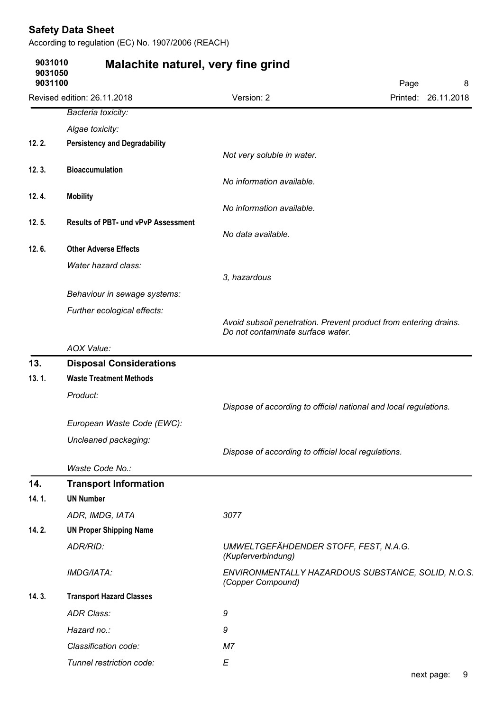| 9031010            | Malachite naturel, very fine grind         |                                                                          |                     |  |
|--------------------|--------------------------------------------|--------------------------------------------------------------------------|---------------------|--|
| 9031050<br>9031100 |                                            | Page                                                                     |                     |  |
|                    | Revised edition: 26.11.2018                | Version: 2                                                               | Printed: 26.11.2018 |  |
|                    | Bacteria toxicity:                         |                                                                          |                     |  |
|                    | Algae toxicity:                            |                                                                          |                     |  |
| 12.2.              | <b>Persistency and Degradability</b>       |                                                                          |                     |  |
|                    |                                            | Not very soluble in water.                                               |                     |  |
| 12.3.              | <b>Bioaccumulation</b>                     | No information available.                                                |                     |  |
| 12.4.              | <b>Mobility</b>                            |                                                                          |                     |  |
|                    |                                            | No information available.                                                |                     |  |
| 12.5.              | <b>Results of PBT- und vPvP Assessment</b> |                                                                          |                     |  |
|                    |                                            | No data available.                                                       |                     |  |
| 12.6.              | <b>Other Adverse Effects</b>               |                                                                          |                     |  |
|                    | Water hazard class:                        | 3, hazardous                                                             |                     |  |
|                    | Behaviour in sewage systems:               |                                                                          |                     |  |
|                    | Further ecological effects:                |                                                                          |                     |  |
|                    |                                            | Avoid subsoil penetration. Prevent product from entering drains.         |                     |  |
|                    |                                            | Do not contaminate surface water.                                        |                     |  |
|                    | AOX Value:                                 |                                                                          |                     |  |
| 13.                | <b>Disposal Considerations</b>             |                                                                          |                     |  |
| 13.1.              | <b>Waste Treatment Methods</b>             |                                                                          |                     |  |
|                    | Product:                                   | Dispose of according to official national and local regulations.         |                     |  |
|                    | European Waste Code (EWC):                 |                                                                          |                     |  |
|                    |                                            |                                                                          |                     |  |
|                    | Uncleaned packaging:                       | Dispose of according to official local regulations.                      |                     |  |
|                    | Waste Code No.:                            |                                                                          |                     |  |
| 14.                | <b>Transport Information</b>               |                                                                          |                     |  |
| 14.1.              | <b>UN Number</b>                           |                                                                          |                     |  |
|                    | ADR, IMDG, IATA                            | 3077                                                                     |                     |  |
| 14.2.              | <b>UN Proper Shipping Name</b>             |                                                                          |                     |  |
|                    | ADR/RID:                                   | UMWELTGEFÄHDENDER STOFF, FEST, N.A.G.                                    |                     |  |
|                    | IMDG/IATA:                                 | (Kupferverbindung)<br>ENVIRONMENTALLY HAZARDOUS SUBSTANCE, SOLID, N.O.S. |                     |  |
|                    |                                            | (Copper Compound)                                                        |                     |  |
| 14.3.              | <b>Transport Hazard Classes</b>            |                                                                          |                     |  |
|                    | <b>ADR Class:</b>                          | 9                                                                        |                     |  |
|                    | Hazard no.:                                | 9                                                                        |                     |  |
|                    | Classification code:                       | M <sub>7</sub>                                                           |                     |  |
|                    | Tunnel restriction code:                   | E                                                                        |                     |  |
|                    |                                            |                                                                          |                     |  |